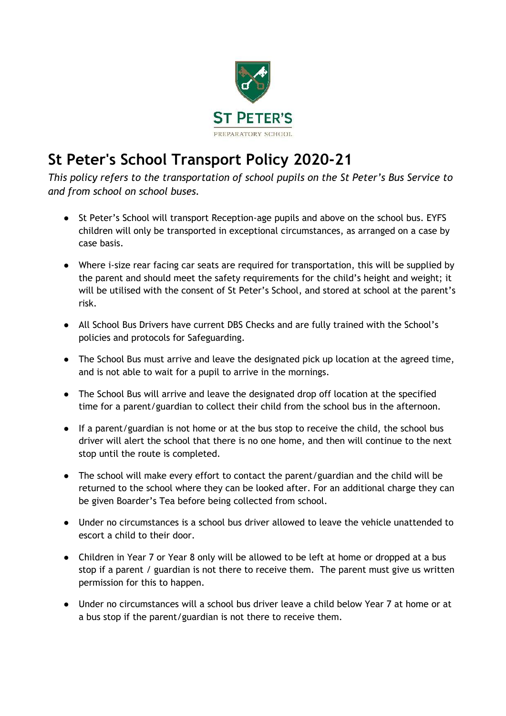

## **St Peter's School Transport Policy 2020-21**

*This policy refers to the transportation of school pupils on the St Peter's Bus Service to and from school on school buses.* 

- St Peter's School will transport Reception-age pupils and above on the school bus. EYFS children will only be transported in exceptional circumstances, as arranged on a case by case basis.
- Where i-size rear facing car seats are required for transportation, this will be supplied by the parent and should meet the safety requirements for the child's height and weight; it will be utilised with the consent of St Peter's School, and stored at school at the parent's risk.
- All School Bus Drivers have current DBS Checks and are fully trained with the School's policies and protocols for Safeguarding.
- The School Bus must arrive and leave the designated pick up location at the agreed time, and is not able to wait for a pupil to arrive in the mornings.
- The School Bus will arrive and leave the designated drop off location at the specified time for a parent/guardian to collect their child from the school bus in the afternoon.
- If a parent/guardian is not home or at the bus stop to receive the child, the school bus driver will alert the school that there is no one home, and then will continue to the next stop until the route is completed.
- The school will make every effort to contact the parent/guardian and the child will be returned to the school where they can be looked after. For an additional charge they can be given Boarder's Tea before being collected from school.
- Under no circumstances is a school bus driver allowed to leave the vehicle unattended to escort a child to their door.
- Children in Year 7 or Year 8 only will be allowed to be left at home or dropped at a bus stop if a parent / guardian is not there to receive them. The parent must give us written permission for this to happen.
- Under no circumstances will a school bus driver leave a child below Year 7 at home or at a bus stop if the parent/guardian is not there to receive them.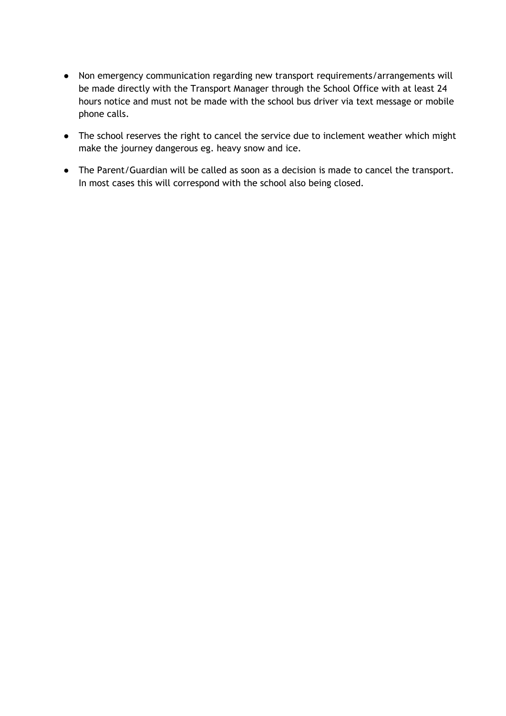- Non emergency communication regarding new transport requirements/arrangements will be made directly with the Transport Manager through the School Office with at least 24 hours notice and must not be made with the school bus driver via text message or mobile phone calls.
- The school reserves the right to cancel the service due to inclement weather which might make the journey dangerous eg. heavy snow and ice.
- The Parent/Guardian will be called as soon as a decision is made to cancel the transport. In most cases this will correspond with the school also being closed.